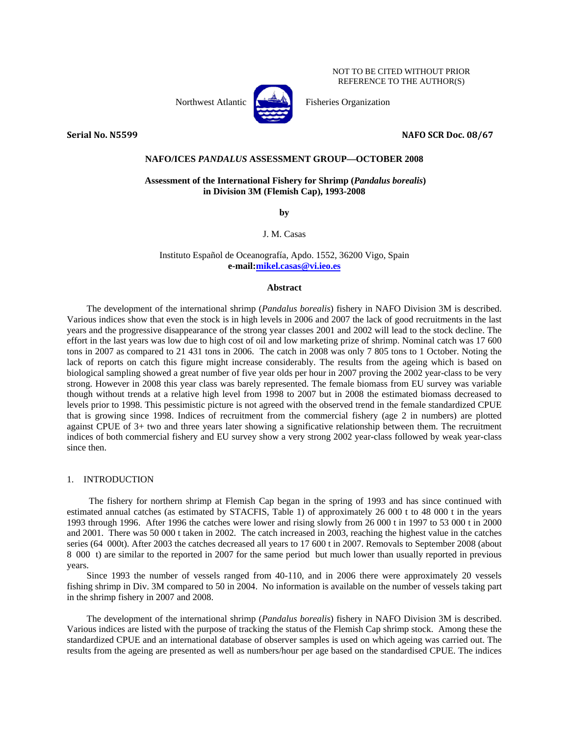NOT TO BE CITED WITHOUT PRIOR REFERENCE TO THE AUTHOR(S)

Northwest Atlantic  $\left[\begin{matrix} 1 & 1 \\ 1 & 1 \end{matrix}\right]$  Fisheries Organization



**Serial No. N5599 NAFO SCR Doc. 08/67**

### **NAFO/ICES** *PANDALUS* **ASSESSMENT GROUP—OCTOBER 2008**

## **Assessment of the International Fishery for Shrimp (***Pandalus borealis***) in Division 3M (Flemish Cap), 1993-2008**

**by** 

J. M. Casas

Instituto Español de Oceanografía, Apdo. 1552, 36200 Vigo, Spain **e-mail:mikel.casas@vi.ieo.es**

### **Abstract**

The development of the international shrimp (*Pandalus borealis*) fishery in NAFO Division 3M is described. Various indices show that even the stock is in high levels in 2006 and 2007 the lack of good recruitments in the last years and the progressive disappearance of the strong year classes 2001 and 2002 will lead to the stock decline. The effort in the last years was low due to high cost of oil and low marketing prize of shrimp. Nominal catch was 17 600 tons in 2007 as compared to 21 431 tons in 2006. The catch in 2008 was only 7 805 tons to 1 October. Noting the lack of reports on catch this figure might increase considerably. The results from the ageing which is based on biological sampling showed a great number of five year olds per hour in 2007 proving the 2002 year-class to be very strong. However in 2008 this year class was barely represented. The female biomass from EU survey was variable though without trends at a relative high level from 1998 to 2007 but in 2008 the estimated biomass decreased to levels prior to 1998. This pessimistic picture is not agreed with the observed trend in the female standardized CPUE that is growing since 1998. Indices of recruitment from the commercial fishery (age 2 in numbers) are plotted against CPUE of 3+ two and three years later showing a significative relationship between them. The recruitment indices of both commercial fishery and EU survey show a very strong 2002 year-class followed by weak year-class since then.

## 1. INTRODUCTION

 The fishery for northern shrimp at Flemish Cap began in the spring of 1993 and has since continued with estimated annual catches (as estimated by STACFIS, Table 1) of approximately 26 000 t to 48 000 t in the years 1993 through 1996. After 1996 the catches were lower and rising slowly from 26 000 t in 1997 to 53 000 t in 2000 and 2001. There was 50 000 t taken in 2002. The catch increased in 2003, reaching the highest value in the catches series (64 000t). After 2003 the catches decreased all years to 17 600 t in 2007. Removals to September 2008 (about 8ñ000 t) are similar to the reported in 2007 for the same period but much lower than usually reported in previous years.

Since 1993 the number of vessels ranged from 40-110, and in 2006 there were approximately 20 vessels fishing shrimp in Div. 3M compared to 50 in 2004. No information is available on the number of vessels taking part in the shrimp fishery in 2007 and 2008.

The development of the international shrimp (*Pandalus borealis*) fishery in NAFO Division 3M is described. Various indices are listed with the purpose of tracking the status of the Flemish Cap shrimp stock. Among these the standardized CPUE and an international database of observer samples is used on which ageing was carried out. The results from the ageing are presented as well as numbers/hour per age based on the standardised CPUE. The indices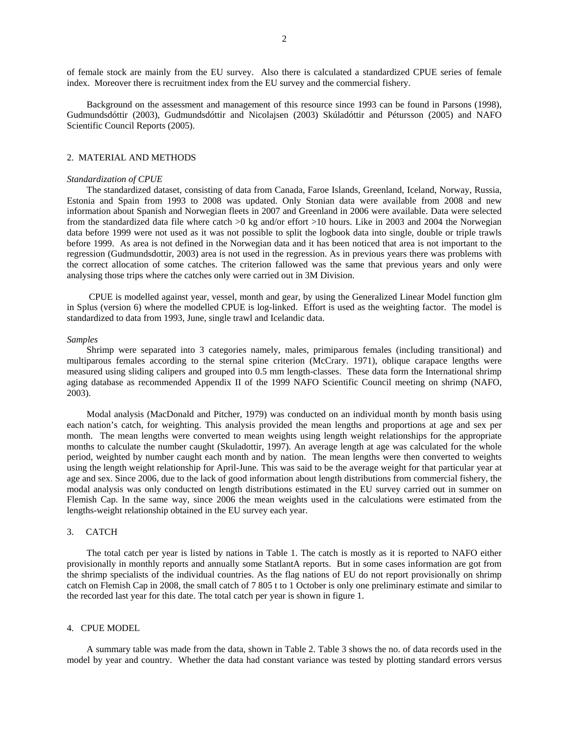of female stock are mainly from the EU survey. Also there is calculated a standardized CPUE series of female index. Moreover there is recruitment index from the EU survey and the commercial fishery.

Background on the assessment and management of this resource since 1993 can be found in Parsons (1998), Gudmundsdóttir (2003), Gudmundsdóttir and Nicolajsen (2003) Skúladóttir and Pétursson (2005) and NAFO Scientific Council Reports (2005).

### 2. MATERIAL AND METHODS

#### *Standardization of CPUE*

The standardized dataset, consisting of data from Canada, Faroe Islands, Greenland, Iceland, Norway, Russia, Estonia and Spain from 1993 to 2008 was updated. Only Stonian data were available from 2008 and new information about Spanish and Norwegian fleets in 2007 and Greenland in 2006 were available. Data were selected from the standardized data file where catch >0 kg and/or effort >10 hours. Like in 2003 and 2004 the Norwegian data before 1999 were not used as it was not possible to split the logbook data into single, double or triple trawls before 1999. As area is not defined in the Norwegian data and it has been noticed that area is not important to the regression (Gudmundsdottir, 2003) area is not used in the regression. As in previous years there was problems with the correct allocation of some catches. The criterion fallowed was the same that previous years and only were analysing those trips where the catches only were carried out in 3M Division.

 CPUE is modelled against year, vessel, month and gear, by using the Generalized Linear Model function glm in Splus (version 6) where the modelled CPUE is log-linked. Effort is used as the weighting factor. The model is standardized to data from 1993, June, single trawl and Icelandic data.

#### *Samples*

Shrimp were separated into 3 categories namely, males, primiparous females (including transitional) and multiparous females according to the sternal spine criterion (McCrary. 1971), oblique carapace lengths were measured using sliding calipers and grouped into 0.5 mm length-classes. These data form the International shrimp aging database as recommended Appendix II of the 1999 NAFO Scientific Council meeting on shrimp (NAFO, 2003).

Modal analysis (MacDonald and Pitcher, 1979) was conducted on an individual month by month basis using each nation's catch, for weighting. This analysis provided the mean lengths and proportions at age and sex per month. The mean lengths were converted to mean weights using length weight relationships for the appropriate months to calculate the number caught (Skuladottir, 1997). An average length at age was calculated for the whole period, weighted by number caught each month and by nation. The mean lengths were then converted to weights using the length weight relationship for April-June. This was said to be the average weight for that particular year at age and sex. Since 2006, due to the lack of good information about length distributions from commercial fishery, the modal analysis was only conducted on length distributions estimated in the EU survey carried out in summer on Flemish Cap. In the same way, since 2006 the mean weights used in the calculations were estimated from the lengths-weight relationship obtained in the EU survey each year.

### 3. CATCH

The total catch per year is listed by nations in Table 1. The catch is mostly as it is reported to NAFO either provisionally in monthly reports and annually some StatlantA reports. But in some cases information are got from the shrimp specialists of the individual countries. As the flag nations of EU do not report provisionally on shrimp catch on Flemish Cap in 2008, the small catch of 7 805 t to 1 October is only one preliminary estimate and similar to the recorded last year for this date. The total catch per year is shown in figure 1.

## 4. CPUE MODEL

A summary table was made from the data, shown in Table 2. Table 3 shows the no. of data records used in the model by year and country. Whether the data had constant variance was tested by plotting standard errors versus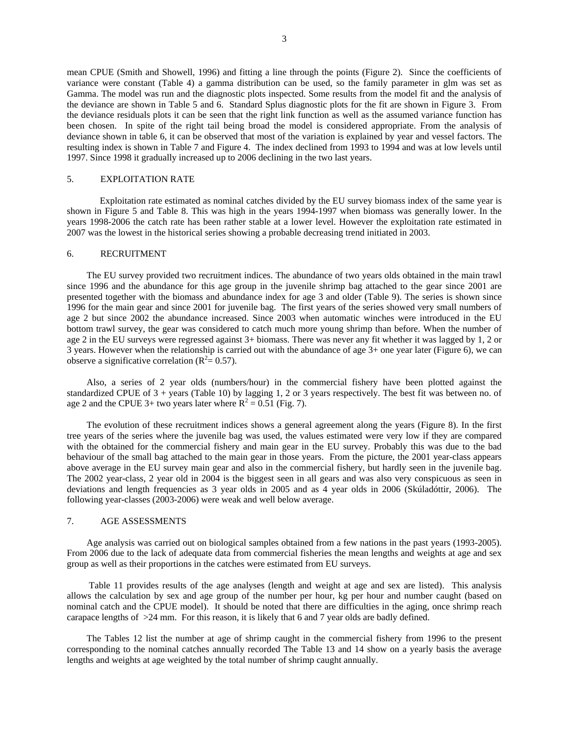mean CPUE (Smith and Showell, 1996) and fitting a line through the points (Figure 2). Since the coefficients of variance were constant (Table 4) a gamma distribution can be used, so the family parameter in glm was set as Gamma. The model was run and the diagnostic plots inspected. Some results from the model fit and the analysis of the deviance are shown in Table 5 and 6. Standard Splus diagnostic plots for the fit are shown in Figure 3. From the deviance residuals plots it can be seen that the right link function as well as the assumed variance function has been chosen. In spite of the right tail being broad the model is considered appropriate. From the analysis of deviance shown in table 6, it can be observed that most of the variation is explained by year and vessel factors. The resulting index is shown in Table 7 and Figure 4. The index declined from 1993 to 1994 and was at low levels until 1997. Since 1998 it gradually increased up to 2006 declining in the two last years.

## 5. EXPLOITATION RATE

Exploitation rate estimated as nominal catches divided by the EU survey biomass index of the same year is shown in Figure 5 and Table 8. This was high in the years 1994-1997 when biomass was generally lower. In the years 1998-2006 the catch rate has been rather stable at a lower level. However the exploitation rate estimated in 2007 was the lowest in the historical series showing a probable decreasing trend initiated in 2003.

#### 6. RECRUITMENT

The EU survey provided two recruitment indices. The abundance of two years olds obtained in the main trawl since 1996 and the abundance for this age group in the juvenile shrimp bag attached to the gear since 2001 are presented together with the biomass and abundance index for age 3 and older (Table 9). The series is shown since 1996 for the main gear and since 2001 for juvenile bag. The first years of the series showed very small numbers of age 2 but since 2002 the abundance increased. Since 2003 when automatic winches were introduced in the EU bottom trawl survey, the gear was considered to catch much more young shrimp than before. When the number of age 2 in the EU surveys were regressed against 3+ biomass. There was never any fit whether it was lagged by 1, 2 or 3 years. However when the relationship is carried out with the abundance of age 3+ one year later (Figure 6), we can observe a significative correlation ( $R^2 = 0.57$ ).

Also, a series of 2 year olds (numbers/hour) in the commercial fishery have been plotted against the standardized CPUE of 3 + years (Table 10) by lagging 1, 2 or 3 years respectively. The best fit was between no. of age 2 and the CPUE 3+ two years later where  $R^2 = 0.51$  (Fig. 7).

The evolution of these recruitment indices shows a general agreement along the years (Figure 8). In the first tree years of the series where the juvenile bag was used, the values estimated were very low if they are compared with the obtained for the commercial fishery and main gear in the EU survey. Probably this was due to the bad behaviour of the small bag attached to the main gear in those years. From the picture, the 2001 year-class appears above average in the EU survey main gear and also in the commercial fishery, but hardly seen in the juvenile bag. The 2002 year-class, 2 year old in 2004 is the biggest seen in all gears and was also very conspicuous as seen in deviations and length frequencies as 3 year olds in 2005 and as 4 year olds in 2006 (Skúladóttir, 2006). The following year-classes (2003-2006) were weak and well below average.

## 7. AGE ASSESSMENTS

Age analysis was carried out on biological samples obtained from a few nations in the past years (1993-2005). From 2006 due to the lack of adequate data from commercial fisheries the mean lengths and weights at age and sex group as well as their proportions in the catches were estimated from EU surveys.

 Table 11 provides results of the age analyses (length and weight at age and sex are listed). This analysis allows the calculation by sex and age group of the number per hour, kg per hour and number caught (based on nominal catch and the CPUE model). It should be noted that there are difficulties in the aging, once shrimp reach carapace lengths of >24 mm. For this reason, it is likely that 6 and 7 year olds are badly defined.

The Tables 12 list the number at age of shrimp caught in the commercial fishery from 1996 to the present corresponding to the nominal catches annually recorded The Table 13 and 14 show on a yearly basis the average lengths and weights at age weighted by the total number of shrimp caught annually.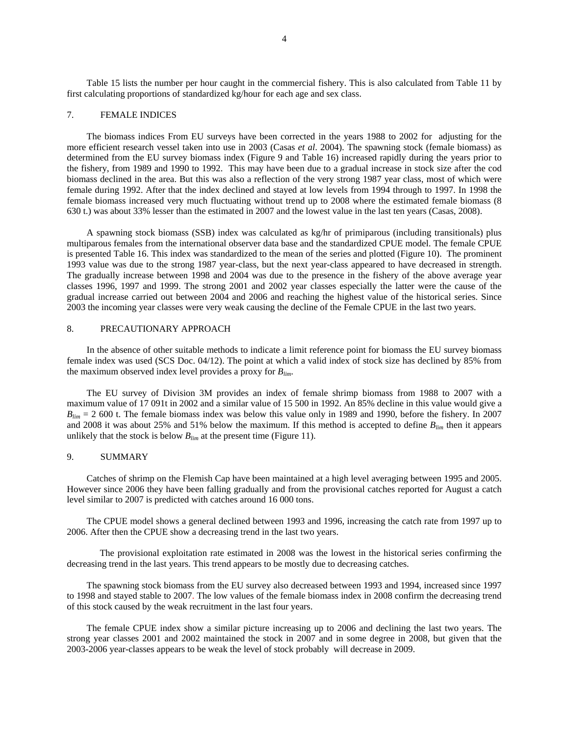Table 15 lists the number per hour caught in the commercial fishery. This is also calculated from Table 11 by first calculating proportions of standardized kg/hour for each age and sex class.

### 7. FEMALE INDICES

The biomass indices From EU surveys have been corrected in the years 1988 to 2002 for adjusting for the more efficient research vessel taken into use in 2003 (Casas *et al*. 2004). The spawning stock (female biomass) as determined from the EU survey biomass index (Figure 9 and Table 16) increased rapidly during the years prior to the fishery, from 1989 and 1990 to 1992. This may have been due to a gradual increase in stock size after the cod biomass declined in the area. But this was also a reflection of the very strong 1987 year class, most of which were female during 1992. After that the index declined and stayed at low levels from 1994 through to 1997. In 1998 the female biomass increased very much fluctuating without trend up to 2008 where the estimated female biomass (8 630 t.) was about 33% lesser than the estimated in 2007 and the lowest value in the last ten years (Casas, 2008).

A spawning stock biomass (SSB) index was calculated as kg/hr of primiparous (including transitionals) plus multiparous females from the international observer data base and the standardized CPUE model. The female CPUE is presented Table 16. This index was standardized to the mean of the series and plotted (Figure 10). The prominent 1993 value was due to the strong 1987 year-class, but the next year-class appeared to have decreased in strength. The gradually increase between 1998 and 2004 was due to the presence in the fishery of the above average year classes 1996, 1997 and 1999. The strong 2001 and 2002 year classes especially the latter were the cause of the gradual increase carried out between 2004 and 2006 and reaching the highest value of the historical series. Since 2003 the incoming year classes were very weak causing the decline of the Female CPUE in the last two years.

## 8. PRECAUTIONARY APPROACH

In the absence of other suitable methods to indicate a limit reference point for biomass the EU survey biomass female index was used (SCS Doc. 04/12). The point at which a valid index of stock size has declined by 85% from the maximum observed index level provides a proxy for *Blim*.

The EU survey of Division 3M provides an index of female shrimp biomass from 1988 to 2007 with a maximum value of 17 091t in 2002 and a similar value of 15 500 in 1992. An 85% decline in this value would give a  $B_{lim}$  = 2 600 t. The female biomass index was below this value only in 1989 and 1990, before the fishery. In 2007 and 2008 it was about 25% and 51% below the maximum. If this method is accepted to define *Blim* then it appears unlikely that the stock is below  $B_{lim}$  at the present time (Figure 11).

## 9. SUMMARY

Catches of shrimp on the Flemish Cap have been maintained at a high level averaging between 1995 and 2005. However since 2006 they have been falling gradually and from the provisional catches reported for August a catch level similar to 2007 is predicted with catches around 16 000 tons.

The CPUE model shows a general declined between 1993 and 1996, increasing the catch rate from 1997 up to 2006. After then the CPUE show a decreasing trend in the last two years.

The provisional exploitation rate estimated in 2008 was the lowest in the historical series confirming the decreasing trend in the last years. This trend appears to be mostly due to decreasing catches.

The spawning stock biomass from the EU survey also decreased between 1993 and 1994, increased since 1997 to 1998 and stayed stable to 2007. The low values of the female biomass index in 2008 confirm the decreasing trend of this stock caused by the weak recruitment in the last four years.

The female CPUE index show a similar picture increasing up to 2006 and declining the last two years. The strong year classes 2001 and 2002 maintained the stock in 2007 and in some degree in 2008, but given that the 2003-2006 year-classes appears to be weak the level of stock probably will decrease in 2009.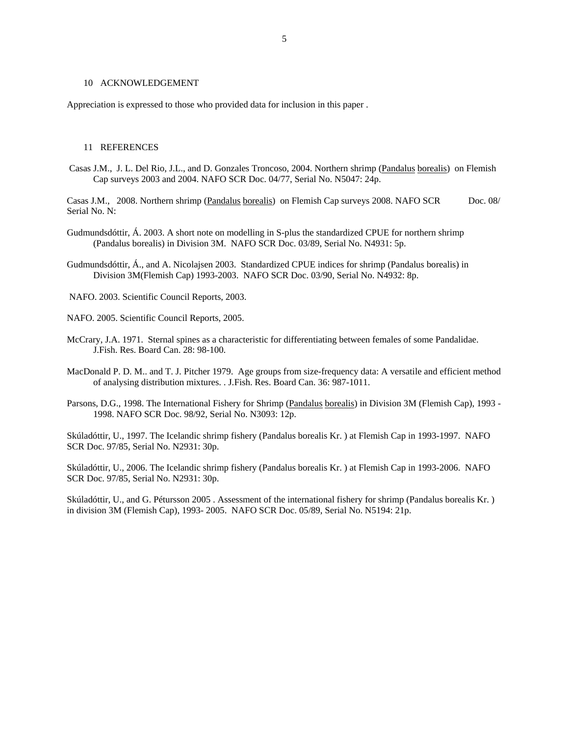#### 10 ACKNOWLEDGEMENT

Appreciation is expressed to those who provided data for inclusion in this paper .

### 11 REFERENCES

 Casas J.M., J. L. Del Rio, J.L., and D. Gonzales Troncoso, 2004. Northern shrimp (Pandalus borealis) on Flemish Cap surveys 2003 and 2004. NAFO SCR Doc. 04/77, Serial No. N5047: 24p.

Casas J.M., 2008. Northern shrimp (Pandalus borealis) on Flemish Cap surveys 2008. NAFO SCR Doc. 08/ Serial No. N:

- Gudmundsdóttir, Á. 2003. A short note on modelling in S-plus the standardized CPUE for northern shrimp (Pandalus borealis) in Division 3M. NAFO SCR Doc. 03/89, Serial No. N4931: 5p.
- Gudmundsdóttir, Á., and A. Nicolajsen 2003. Standardized CPUE indices for shrimp (Pandalus borealis) in Division 3M(Flemish Cap) 1993-2003. NAFO SCR Doc. 03/90, Serial No. N4932: 8p.
- NAFO. 2003. Scientific Council Reports, 2003.
- NAFO. 2005. Scientific Council Reports, 2005.
- McCrary, J.A. 1971. Sternal spines as a characteristic for differentiating between females of some Pandalidae. J.Fish. Res. Board Can. 28: 98-100.
- MacDonald P. D. M.. and T. J. Pitcher 1979. Age groups from size-frequency data: A versatile and efficient method of analysing distribution mixtures. . J.Fish. Res. Board Can. 36: 987-1011.
- Parsons, D.G., 1998. The International Fishery for Shrimp (Pandalus borealis) in Division 3M (Flemish Cap), 1993 -1998. NAFO SCR Doc. 98/92, Serial No. N3093: 12p.

Skúladóttir, U., 1997. The Icelandic shrimp fishery (Pandalus borealis Kr. ) at Flemish Cap in 1993-1997. NAFO SCR Doc. 97/85, Serial No. N2931: 30p.

Skúladóttir, U., 2006. The Icelandic shrimp fishery (Pandalus borealis Kr. ) at Flemish Cap in 1993-2006. NAFO SCR Doc. 97/85, Serial No. N2931: 30p.

Skúladóttir, U., and G. Pétursson 2005 . Assessment of the international fishery for shrimp (Pandalus borealis Kr. ) in division 3M (Flemish Cap), 1993- 2005. NAFO SCR Doc. 05/89, Serial No. N5194: 21p.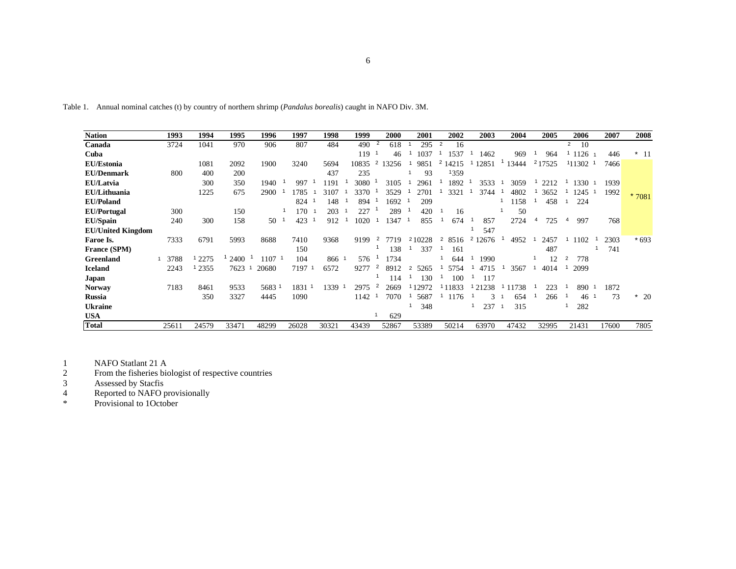| v |  |
|---|--|
| ٠ |  |
|   |  |

Table 1. Annual nominal catches (t) by country of northern shrimp (*Pandalus borealis*) caught in NAFO Div. 3M.

| <b>Nation</b>            | 1993  | 1994  | 1995  | 1996       | 1997              | 1998   | 1999  | 2000                   | 2001                   | 2002                   | 2003                    | 2004                  | 2005     | 2006                   | 2007  | 2008    |
|--------------------------|-------|-------|-------|------------|-------------------|--------|-------|------------------------|------------------------|------------------------|-------------------------|-----------------------|----------|------------------------|-------|---------|
| Canada                   | 3724  | 1041  | 970   | 906        | 807               | 484    | 490   | 618                    | 295                    | 16                     |                         |                       |          | $\overline{2}$<br>- 10 |       |         |
| Cuba                     |       |       |       |            |                   |        | 119   | 46                     | 1037                   | 1537                   | 1462                    | 969                   | 964      | 1126                   | 446   | $*$ 11  |
| <b>EU/Estonia</b>        |       | 1081  | 2092  | 1900       | 3240              | 5694   | 10835 | $\overline{2}$<br>3256 | 9851                   | 14215<br>۷             | 12851                   | 13444                 | 217525   | 11302                  | 7466  |         |
| <b>EU/Denmark</b>        | 800   | 400   | 200   |            |                   | 437    | 235   |                        | 93                     | 1359                   |                         |                       |          |                        |       |         |
| <b>EU/Latvia</b>         |       | 300   | 350   | 1940       | 997               | 1191   | 3080  | 3105                   | 2961                   | 1892                   | 3533                    | 3059                  | 2212     | 1330                   | 1939  |         |
| EU/Lithuania             |       | 1225  | 675   | 2900       | 1785              | 3107   | 3370  | 3529                   | 2701                   | 3321                   | 3744                    | 4802                  | 3652     | 1245                   | 1992  | $*7081$ |
| <b>EU/Poland</b>         |       |       |       |            | 824               | 148    | 894   | 1692                   | 209                    |                        |                         | 158                   | 458      | 224                    |       |         |
| <b>EU/Portugal</b>       | 300   |       | 150   |            | 170               | 203    | 227   | 289                    | 420                    | 16                     |                         | 50                    |          |                        |       |         |
| <b>EU/Spain</b>          | 240   | 300   | 158   | 50         | 423               | 912    | 1020  | 347                    | 855                    | 674                    | 857                     | 2724                  | 725<br>4 | 997<br>4               | 768   |         |
| <b>EU/United Kingdom</b> |       |       |       |            |                   |        |       |                        |                        |                        | 547                     |                       |          |                        |       |         |
| Faroe Is.                | 7333  | 6791  | 5993  | 8688       | 7410              | 9368   | 9199  | 7719<br>$\mathbf{z}$   | 210228                 | $\overline{2}$<br>8516 | $\overline{c}$<br>12676 | 4952                  | 2457     | 1102                   | 2303  | $*693$  |
| France (SPM)             |       |       |       |            | 150               |        |       | 138                    | 337                    | 161                    |                         |                       | 487      |                        | 741   |         |
| <b>Greenland</b>         | 3788  | 2275  | 2400  | $1107 - 1$ | 104               | 866 1  | 576   | 1734                   |                        | 644                    | 1990                    |                       | 12       | 778<br>2               |       |         |
| <b>Iceland</b>           | 2243  | 2355  | 7623  | 20680      | 7197<br>- 1       | 6572   | 9277  | 2<br>8912              | 5265<br>$\overline{2}$ | 5754                   | 4715                    | 3567                  | 4014     | 2099                   |       |         |
| Japan                    |       |       |       |            |                   |        |       | 114                    | 130                    | 100                    | 117                     |                       |          |                        |       |         |
| <b>Norway</b>            | 7183  | 8461  | 9533  | 5683 1     | 1831 <sup>1</sup> | 1339 1 | 2975  | 2669                   | 12972                  | 11833                  | 21238                   | 11738                 | 223      | 890                    | 1872  |         |
| <b>Russia</b>            |       | 350   | 3327  | 4445       | 1090              |        | 1142  | 7070                   | 5687                   | 1176                   |                         | 654                   | 266      | 46                     | 73    | $*20$   |
| <b>Ukraine</b>           |       |       |       |            |                   |        |       |                        | 348                    |                        | 237                     | 315<br>$\overline{1}$ |          | 282                    |       |         |
| <b>USA</b>               |       |       |       |            |                   |        |       | 629                    |                        |                        |                         |                       |          |                        |       |         |
| <b>Total</b>             | 25611 | 24579 | 33471 | 48299      | 26028             | 30321  | 43439 | 52867                  | 53389                  | 50214                  | 63970                   | 47432                 | 32995    | 21431                  | 17600 | 7805    |

1 NAFO Statlant 21 A

2 From the fisheries biologist of respective countries

3 Assessed by Stacfis

4 Reported to NAFO provisionally

\* Provisional to 1October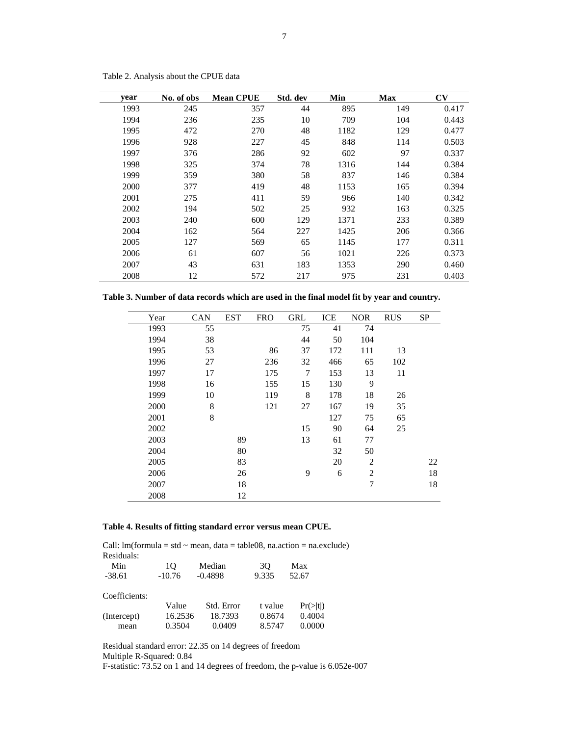| year | No. of obs | <b>Mean CPUE</b> | Std. dev | Min  | <b>Max</b> | $\mathbf{C}\mathbf{V}$ |
|------|------------|------------------|----------|------|------------|------------------------|
| 1993 | 245        | 357              | 44       | 895  | 149        | 0.417                  |
| 1994 | 236        | 235              | 10       | 709  | 104        | 0.443                  |
| 1995 | 472        | 270              | 48       | 1182 | 129        | 0.477                  |
| 1996 | 928        | 227              | 45       | 848  | 114        | 0.503                  |
| 1997 | 376        | 286              | 92       | 602  | 97         | 0.337                  |
| 1998 | 325        | 374              | 78       | 1316 | 144        | 0.384                  |
| 1999 | 359        | 380              | 58       | 837  | 146        | 0.384                  |
| 2000 | 377        | 419              | 48       | 1153 | 165        | 0.394                  |
| 2001 | 275        | 411              | 59       | 966  | 140        | 0.342                  |
| 2002 | 194        | 502              | 25       | 932  | 163        | 0.325                  |
| 2003 | 240        | 600              | 129      | 1371 | 233        | 0.389                  |
| 2004 | 162        | 564              | 227      | 1425 | 206        | 0.366                  |
| 2005 | 127        | 569              | 65       | 1145 | 177        | 0.311                  |
| 2006 | 61         | 607              | 56       | 1021 | 226        | 0.373                  |
| 2007 | 43         | 631              | 183      | 1353 | 290        | 0.460                  |
| 2008 | 12         | 572              | 217      | 975  | 231        | 0.403                  |

Table 2. Analysis about the CPUE data

**Table 3. Number of data records which are used in the final model fit by year and country.** 

| Year | <b>CAN</b> | <b>EST</b> | <b>FRO</b> | <b>GRL</b> | ICE | <b>NOR</b>     | <b>RUS</b> | <b>SP</b> |
|------|------------|------------|------------|------------|-----|----------------|------------|-----------|
| 1993 | 55         |            |            | 75         | 41  | 74             |            |           |
| 1994 | 38         |            |            | 44         | 50  | 104            |            |           |
| 1995 | 53         |            | 86         | 37         | 172 | 111            | 13         |           |
| 1996 | 27         |            | 236        | 32         | 466 | 65             | 102        |           |
| 1997 | 17         |            | 175        | 7          | 153 | 13             | 11         |           |
| 1998 | 16         |            | 155        | 15         | 130 | 9              |            |           |
| 1999 | 10         |            | 119        | 8          | 178 | 18             | 26         |           |
| 2000 | 8          |            | 121        | 27         | 167 | 19             | 35         |           |
| 2001 | 8          |            |            |            | 127 | 75             | 65         |           |
| 2002 |            |            |            | 15         | 90  | 64             | 25         |           |
| 2003 |            | 89         |            | 13         | 61  | 77             |            |           |
| 2004 |            | 80         |            |            | 32  | 50             |            |           |
| 2005 |            | 83         |            |            | 20  | $\overline{2}$ |            | 22        |
| 2006 |            | 26         |            | 9          | 6   | 2              |            | 18        |
| 2007 |            | 18         |            |            |     | 7              |            | 18        |
| 2008 |            | 12         |            |            |     |                |            |           |

# **Table 4. Results of fitting standard error versus mean CPUE.**

Call:  $Im(formula = std \sim mean, data = table08, na.action = na. exclude)$ Residuals:

| Min           | 10       | Median     | 30      | Max                  |
|---------------|----------|------------|---------|----------------------|
| $-38.61$      | $-10.76$ | $-0.4898$  | 9.335   | 52.67                |
| Coefficients: |          |            |         |                      |
|               | Value    | Std. Error | t value | $Pr(>\vert t \vert)$ |
| (Intercept)   | 16.2536  | 18.7393    | 0.8674  | 0.4004               |
| mean          | 0.3504   | 0.0409     | 8.5747  | 0.0000               |

Residual standard error: 22.35 on 14 degrees of freedom

Multiple R-Squared: 0.84

F-statistic: 73.52 on 1 and 14 degrees of freedom, the p-value is 6.052e-007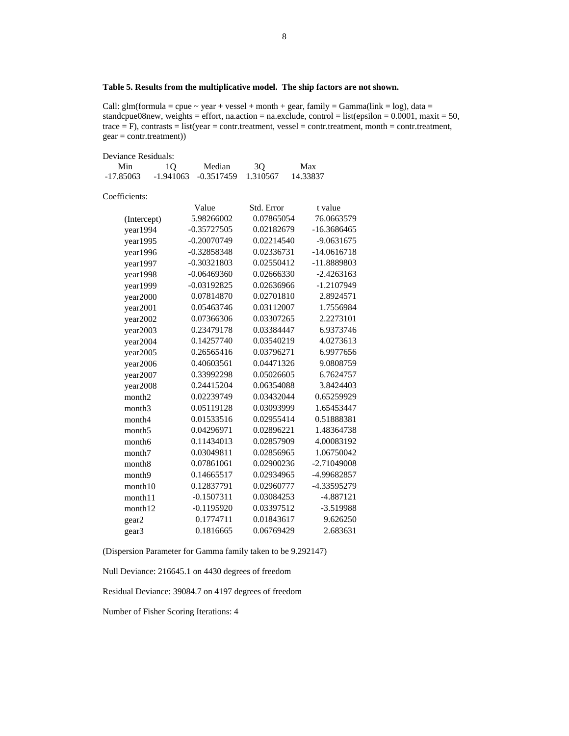## **Table 5. Results from the multiplicative model. The ship factors are not shown.**

Call:  $glm(formula = cque \sim year + vessel + month + gear, family = Gamma(link = log)$ , data = standcpue08new, weights = effort, na.action = na.exclude, control = list(epsilon = 0.0001, maxit = 50,  $trace = F$ , contrasts = list(year = contr.treatment, vessel = contr.treatment, month = contr.treatment, gear = contr.treatment))

| Deviance Residuals: |             |               |            |               |
|---------------------|-------------|---------------|------------|---------------|
| Min                 | 1Q          | Median        | 3Q         | Max           |
| $-17.85063$         | $-1.941063$ | $-0.3517459$  | 1.310567   | 14.33837      |
| Coefficients:       |             |               |            |               |
|                     |             | Value         | Std. Error | t value       |
| (Intercept)         |             | 5.98266002    | 0.07865054 | 76.0663579    |
| year1994            |             | $-0.35727505$ | 0.02182679 | $-16.3686465$ |
| year1995            |             | $-0.20070749$ | 0.02214540 | $-9.0631675$  |
| year1996            |             | $-0.32858348$ | 0.02336731 | $-14.0616718$ |
| year1997            |             | $-0.30321803$ | 0.02550412 | -11.8889803   |
| year1998            |             | $-0.06469360$ | 0.02666330 | $-2.4263163$  |
| year1999            |             | $-0.03192825$ | 0.02636966 | -1.2107949    |
| year2000            |             | 0.07814870    | 0.02701810 | 2.8924571     |
| year2001            |             | 0.05463746    | 0.03112007 | 1.7556984     |
| year2002            |             | 0.07366306    | 0.03307265 | 2.2273101     |
| year2003            |             | 0.23479178    | 0.03384447 | 6.9373746     |
| year2004            |             | 0.14257740    | 0.03540219 | 4.0273613     |
| year2005            |             | 0.26565416    | 0.03796271 | 6.9977656     |
| year2006            |             | 0.40603561    | 0.04471326 | 9.0808759     |
| year2007            |             | 0.33992298    | 0.05026605 | 6.7624757     |
| year2008            |             | 0.24415204    | 0.06354088 | 3.8424403     |
| month <sub>2</sub>  |             | 0.02239749    | 0.03432044 | 0.65259929    |
| month <sub>3</sub>  |             | 0.05119128    | 0.03093999 | 1.65453447    |
| month4              |             | 0.01533516    | 0.02955414 | 0.51888381    |
| month <sub>5</sub>  |             | 0.04296971    | 0.02896221 | 1.48364738    |
| month <sub>6</sub>  |             | 0.11434013    | 0.02857909 | 4.00083192    |
| month7              |             | 0.03049811    | 0.02856965 | 1.06750042    |
| month <sub>8</sub>  |             | 0.07861061    | 0.02900236 | -2.71049008   |
| month9              |             | 0.14665517    | 0.02934965 | -4.99682857   |
| month10             |             | 0.12837791    | 0.02960777 | -4.33595279   |
| month11             |             | $-0.1507311$  | 0.03084253 | $-4.887121$   |
| month12             |             | $-0.1195920$  | 0.03397512 | -3.519988     |
| gear2               |             | 0.1774711     | 0.01843617 | 9.626250      |
| gear <sub>3</sub>   |             | 0.1816665     | 0.06769429 | 2.683631      |

(Dispersion Parameter for Gamma family taken to be 9.292147)

Null Deviance: 216645.1 on 4430 degrees of freedom

Residual Deviance: 39084.7 on 4197 degrees of freedom

Number of Fisher Scoring Iterations: 4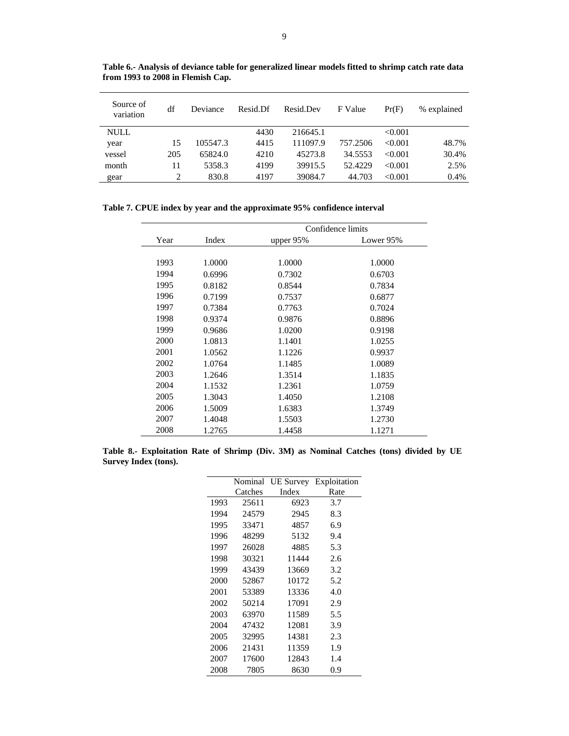| Source of<br>variation | df  | Deviance | Resid Df | Resid.Dev | F Value  | Pr(F)   | % explained |
|------------------------|-----|----------|----------|-----------|----------|---------|-------------|
| <b>NULL</b>            |     |          | 4430     | 216645.1  |          | < 0.001 |             |
| year                   | 15  | 105547.3 | 4415     | 111097.9  | 757.2506 | < 0.001 | 48.7%       |
| vessel                 | 205 | 65824.0  | 4210     | 45273.8   | 34.5553  | < 0.001 | 30.4%       |
| month                  | 11  | 5358.3   | 4199     | 39915.5   | 52.4229  | < 0.001 | 2.5%        |
| gear                   | 2   | 830.8    | 4197     | 39084.7   | 44.703   | < 0.001 | 0.4%        |

**Table 6.- Analysis of deviance table for generalized linear models fitted to shrimp catch rate data from 1993 to 2008 in Flemish Cap.** 

**Table 7. CPUE index by year and the approximate 95% confidence interval** 

|      |        |           | Confidence limits |
|------|--------|-----------|-------------------|
| Year | Index  | upper 95% | Lower 95%         |
|      |        |           |                   |
| 1993 | 1.0000 | 1.0000    | 1.0000            |
| 1994 | 0.6996 | 0.7302    | 0.6703            |
| 1995 | 0.8182 | 0.8544    | 0.7834            |
| 1996 | 0.7199 | 0.7537    | 0.6877            |
| 1997 | 0.7384 | 0.7763    | 0.7024            |
| 1998 | 0.9374 | 0.9876    | 0.8896            |
| 1999 | 0.9686 | 1.0200    | 0.9198            |
| 2000 | 1.0813 | 1.1401    | 1.0255            |
| 2001 | 1.0562 | 1.1226    | 0.9937            |
| 2002 | 1.0764 | 1.1485    | 1.0089            |
| 2003 | 1.2646 | 1.3514    | 1.1835            |
| 2004 | 1.1532 | 1.2361    | 1.0759            |
| 2005 | 1.3043 | 1.4050    | 1.2108            |
| 2006 | 1.5009 | 1.6383    | 1.3749            |
| 2007 | 1.4048 | 1.5503    | 1.2730            |
| 2008 | 1.2765 | 1.4458    | 1.1271            |

**Table 8.- Exploitation Rate of Shrimp (Div. 3M) as Nominal Catches (tons) divided by UE Survey Index (tons).** 

|      | Nominal | <b>UE Survey</b> | Exploitation |
|------|---------|------------------|--------------|
|      | Catches | Index            | Rate         |
| 1993 | 25611   | 6923             | 3.7          |
| 1994 | 24579   | 2945             | 8.3          |
| 1995 | 33471   | 4857             | 6.9          |
| 1996 | 48299   | 5132             | 9.4          |
| 1997 | 26028   | 4885             | 5.3          |
| 1998 | 30321   | 11444            | 2.6          |
| 1999 | 43439   | 13669            | 3.2          |
| 2000 | 52867   | 10172            | 5.2          |
| 2001 | 53389   | 13336            | 4.0          |
| 2002 | 50214   | 17091            | 2.9          |
| 2003 | 63970   | 11589            | 5.5          |
| 2004 | 47432   | 12081            | 3.9          |
| 2005 | 32995   | 14381            | 2.3          |
| 2006 | 21431   | 11359            | 1.9          |
| 2007 | 17600   | 12843            | 1.4          |
| 2008 | 7805    | 8630             | 0.9          |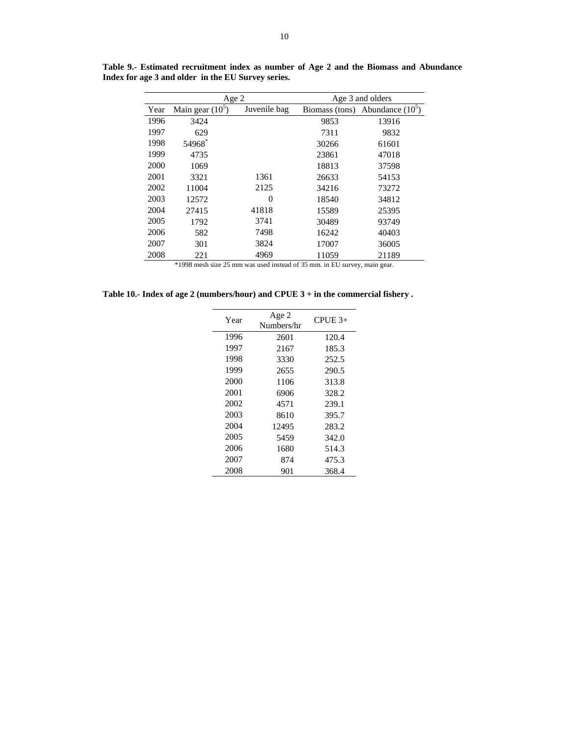|      | Age 2              |              | Age 3 and olders |                    |  |  |
|------|--------------------|--------------|------------------|--------------------|--|--|
| Year | Main gear $(10^5)$ | Juvenile bag | Biomass (tons)   | Abundance $(10^5)$ |  |  |
| 1996 | 3424               |              | 9853             | 13916              |  |  |
| 1997 | 629                |              | 7311             | 9832               |  |  |
| 1998 | 54968*             |              | 30266            | 61601              |  |  |
| 1999 | 4735               |              | 23861            | 47018              |  |  |
| 2000 | 1069               |              | 18813            | 37598              |  |  |
| 2001 | 3321               | 1361         | 26633            | 54153              |  |  |
| 2002 | 11004              | 2125         | 34216            | 73272              |  |  |
| 2003 | 12572              | $\theta$     | 18540            | 34812              |  |  |
| 2004 | 27415              | 41818        | 15589            | 25395              |  |  |
| 2005 | 1792               | 3741         | 30489            | 93749              |  |  |
| 2006 | 582                | 7498         | 16242            | 40403              |  |  |
| 2007 | 301                | 3824         | 17007            | 36005              |  |  |
| 2008 | 221                | 4969         | 11059            | 21189              |  |  |

**Table 9.- Estimated recruitment index as number of Age 2 and the Biomass and Abundance Index for age 3 and older in the EU Survey series.** 

\*1998 mesh size 25 mm was used instead of 35 mm. in EU survey, main gear.

**Table 10.- Index of age 2 (numbers/hour) and CPUE 3 + in the commercial fishery .** 

| Year | Age 2<br>Numbers/hr | $CPUE$ <sub>3+</sub> |
|------|---------------------|----------------------|
| 1996 | 2601                | 120.4                |
| 1997 | 2167                | 185.3                |
| 1998 | 3330                | 252.5                |
| 1999 | 2655                | 290.5                |
| 2000 | 1106                | 313.8                |
| 2001 | 6906                | 328.2                |
| 2002 | 4571                | 239.1                |
| 2003 | 8610                | 395.7                |
| 2004 | 12495               | 283.2                |
| 2005 | 5459                | 342.0                |
| 2006 | 1680                | 514.3                |
| 2007 | 874                 | 475.3                |
| 2008 | 901                 | 368.4                |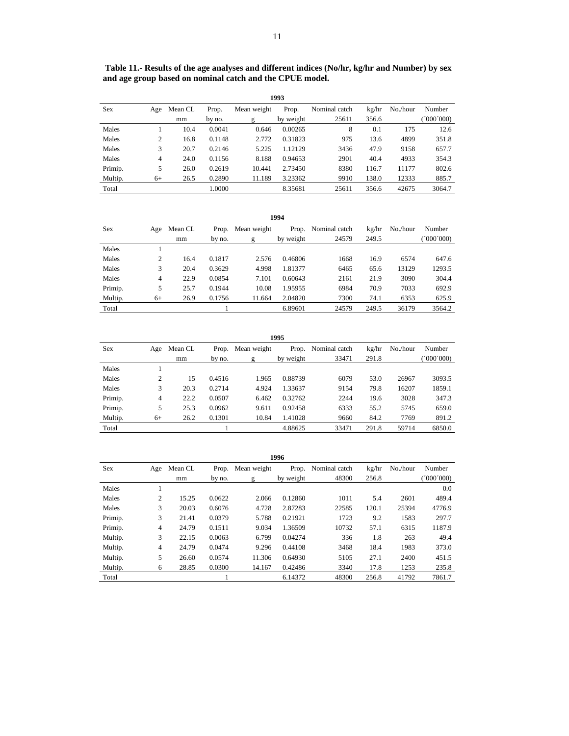|         | 1993 |         |        |             |           |               |       |          |          |  |  |
|---------|------|---------|--------|-------------|-----------|---------------|-------|----------|----------|--|--|
| Sex     | Age  | Mean CL | Prop.  | Mean weight | Prop.     | Nominal catch | kg/hr | No./hour | Number   |  |  |
|         |      | mm      | by no. | g           | by weight | 25611         | 356.6 |          | '000'000 |  |  |
| Males   |      | 10.4    | 0.0041 | 0.646       | 0.00265   | 8             | 0.1   | 175      | 12.6     |  |  |
| Males   | 2    | 16.8    | 0.1148 | 2.772       | 0.31823   | 975           | 13.6  | 4899     | 351.8    |  |  |
| Males   | 3    | 20.7    | 0.2146 | 5.225       | 1.12129   | 3436          | 47.9  | 9158     | 657.7    |  |  |
| Males   | 4    | 24.0    | 0.1156 | 8.188       | 0.94653   | 2901          | 40.4  | 4933     | 354.3    |  |  |
| Primip. | 5    | 26.0    | 0.2619 | 10.441      | 2.73450   | 8380          | 116.7 | 11177    | 802.6    |  |  |
| Multip. | $6+$ | 26.5    | 0.2890 | 11.189      | 3.23362   | 9910          | 138.0 | 12333    | 885.7    |  |  |
| Total   |      |         | 1.0000 |             | 8.35681   | 25611         | 356.6 | 42675    | 3064.7   |  |  |

|            | 1994 |         |        |                   |           |               |       |          |          |  |  |  |
|------------|------|---------|--------|-------------------|-----------|---------------|-------|----------|----------|--|--|--|
| <b>Sex</b> | Age  | Mean CL |        | Prop. Mean weight | Prop.     | Nominal catch | kg/hr | No./hour | Number   |  |  |  |
|            |      | mm      | by no. | g                 | by weight | 24579         | 249.5 |          | (000000) |  |  |  |
| Males      |      |         |        |                   |           |               |       |          |          |  |  |  |
| Males      | 2    | 16.4    | 0.1817 | 2.576             | 0.46806   | 1668          | 16.9  | 6574     | 647.6    |  |  |  |
| Males      | 3    | 20.4    | 0.3629 | 4.998             | 1.81377   | 6465          | 65.6  | 13129    | 1293.5   |  |  |  |
| Males      | 4    | 22.9    | 0.0854 | 7.101             | 0.60643   | 2161          | 21.9  | 3090     | 304.4    |  |  |  |
| Primip.    | 5    | 25.7    | 0.1944 | 10.08             | 1.95955   | 6984          | 70.9  | 7033     | 692.9    |  |  |  |
| Multip.    | $6+$ | 26.9    | 0.1756 | 11.664            | 2.04820   | 7300          | 74.1  | 6353     | 625.9    |  |  |  |
| Total      |      |         |        |                   | 6.89601   | 24579         | 249.5 | 36179    | 3564.2   |  |  |  |

|         | 1995           |         |        |                   |           |                     |       |          |            |  |  |  |
|---------|----------------|---------|--------|-------------------|-----------|---------------------|-------|----------|------------|--|--|--|
| Sex     | Age            | Mean CL |        | Prop. Mean weight |           | Prop. Nominal catch | kg/hr | No./hour | Number     |  |  |  |
|         |                | mm      | by no. | g                 | by weight | 33471               | 291.8 |          | (000, 000) |  |  |  |
| Males   |                |         |        |                   |           |                     |       |          |            |  |  |  |
| Males   | $\overline{c}$ | 15      | 0.4516 | 1.965             | 0.88739   | 6079                | 53.0  | 26967    | 3093.5     |  |  |  |
| Males   | 3              | 20.3    | 0.2714 | 4.924             | 1.33637   | 9154                | 79.8  | 16207    | 1859.1     |  |  |  |
| Primip. | 4              | 22.2    | 0.0507 | 6.462             | 0.32762   | 2244                | 19.6  | 3028     | 347.3      |  |  |  |
| Primip. | 5              | 25.3    | 0.0962 | 9.611             | 0.92458   | 6333                | 55.2  | 5745     | 659.0      |  |  |  |
| Multip. | $6+$           | 26.2    | 0.1301 | 10.84             | 1.41028   | 9660                | 84.2  | 7769     | 891.2      |  |  |  |
| Total   |                |         |        |                   | 4.88625   | 33471               | 291.8 | 59714    | 6850.0     |  |  |  |

|            | 1996           |         |        |                   |           |               |       |          |        |  |  |  |
|------------|----------------|---------|--------|-------------------|-----------|---------------|-------|----------|--------|--|--|--|
| <b>Sex</b> | Age            | Mean CL |        | Prop. Mean weight | Prop.     | Nominal catch | kg/hr | No./hour | Number |  |  |  |
|            |                | mm      | by no. | g                 | by weight | 48300         | 256.8 |          | 000000 |  |  |  |
| Males      |                |         |        |                   |           |               |       |          | 0.0    |  |  |  |
| Males      | 2              | 15.25   | 0.0622 | 2.066             | 0.12860   | 1011          | 5.4   | 2601     | 489.4  |  |  |  |
| Males      | 3              | 20.03   | 0.6076 | 4.728             | 2.87283   | 22585         | 120.1 | 25394    | 4776.9 |  |  |  |
| Primip.    | 3              | 21.41   | 0.0379 | 5.788             | 0.21921   | 1723          | 9.2   | 1583     | 297.7  |  |  |  |
| Primip.    | $\overline{4}$ | 24.79   | 0.1511 | 9.034             | 1.36509   | 10732         | 57.1  | 6315     | 1187.9 |  |  |  |
| Multip.    | 3              | 22.15   | 0.0063 | 6.799             | 0.04274   | 336           | 1.8   | 263      | 49.4   |  |  |  |
| Multip.    | $\overline{4}$ | 24.79   | 0.0474 | 9.296             | 0.44108   | 3468          | 18.4  | 1983     | 373.0  |  |  |  |
| Multip.    | 5              | 26.60   | 0.0574 | 11.306            | 0.64930   | 5105          | 27.1  | 2400     | 451.5  |  |  |  |
| Multip.    | 6              | 28.85   | 0.0300 | 14.167            | 0.42486   | 3340          | 17.8  | 1253     | 235.8  |  |  |  |
| Total      |                |         |        |                   | 6.14372   | 48300         | 256.8 | 41792    | 7861.7 |  |  |  |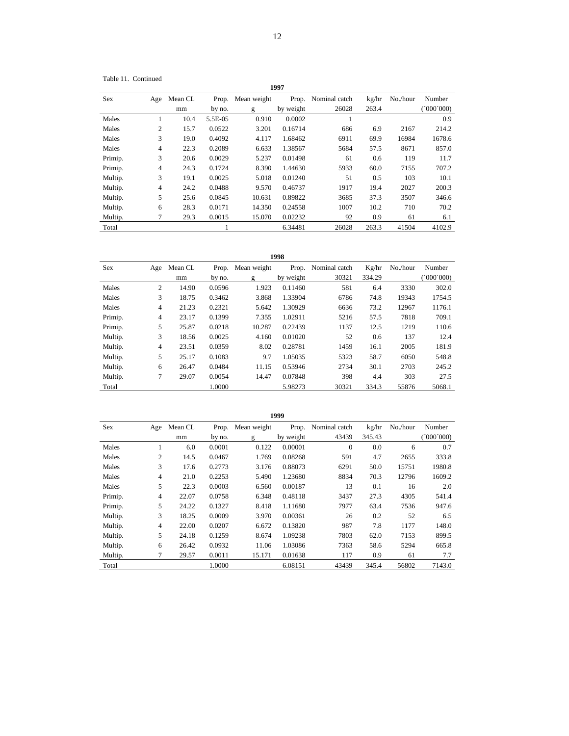Table 11. Continued

|            |                |         |         |             | 1997      |                     |       |          |           |
|------------|----------------|---------|---------|-------------|-----------|---------------------|-------|----------|-----------|
| <b>Sex</b> | Age            | Mean CL | Prop.   | Mean weight |           | Prop. Nominal catch | kg/hr | No./hour | Number    |
|            |                | mm      | by no.  | g           | by weight | 26028               | 263.4 |          | (000'000) |
| Males      | J.             | 10.4    | 5.5E-05 | 0.910       | 0.0002    |                     |       |          | 0.9       |
| Males      | $\overline{c}$ | 15.7    | 0.0522  | 3.201       | 0.16714   | 686                 | 6.9   | 2167     | 214.2     |
| Males      | 3              | 19.0    | 0.4092  | 4.117       | 1.68462   | 6911                | 69.9  | 16984    | 1678.6    |
| Males      | 4              | 22.3    | 0.2089  | 6.633       | 1.38567   | 5684                | 57.5  | 8671     | 857.0     |
| Primip.    | 3              | 20.6    | 0.0029  | 5.237       | 0.01498   | 61                  | 0.6   | 119      | 11.7      |
| Primip.    | 4              | 24.3    | 0.1724  | 8.390       | 1.44630   | 5933                | 60.0  | 7155     | 707.2     |
| Multip.    | 3              | 19.1    | 0.0025  | 5.018       | 0.01240   | 51                  | 0.5   | 103      | 10.1      |
| Multip.    | 4              | 24.2    | 0.0488  | 9.570       | 0.46737   | 1917                | 19.4  | 2027     | 200.3     |
| Multip.    | 5              | 25.6    | 0.0845  | 10.631      | 0.89822   | 3685                | 37.3  | 3507     | 346.6     |
| Multip.    | 6              | 28.3    | 0.0171  | 14.350      | 0.24558   | 1007                | 10.2  | 710      | 70.2      |
| Multip.    | 7              | 29.3    | 0.0015  | 15.070      | 0.02232   | 92                  | 0.9   | 61       | 6.1       |

Total 1 6.34481 26028 263.3 41504 4102.9

| Sex     | Age            | Mean CL | Prop.  | Mean weight | Prop.     | Nominal catch | Kg/hr  | No./hour | Number    |
|---------|----------------|---------|--------|-------------|-----------|---------------|--------|----------|-----------|
|         |                | mm      | by no. | g           | by weight | 30321         | 334.29 |          | (000'000) |
| Males   | $\overline{c}$ | 14.90   | 0.0596 | 1.923       | 0.11460   | 581           | 6.4    | 3330     | 302.0     |
| Males   | 3              | 18.75   | 0.3462 | 3.868       | 1.33904   | 6786          | 74.8   | 19343    | 1754.5    |
| Males   | 4              | 21.23   | 0.2321 | 5.642       | 1.30929   | 6636          | 73.2   | 12967    | 1176.1    |
| Primip. | 4              | 23.17   | 0.1399 | 7.355       | 1.02911   | 5216          | 57.5   | 7818     | 709.1     |
| Primip. | 5              | 25.87   | 0.0218 | 10.287      | 0.22439   | 1137          | 12.5   | 1219     | 110.6     |
| Multip. | 3              | 18.56   | 0.0025 | 4.160       | 0.01020   | 52            | 0.6    | 137      | 12.4      |
| Multip. | 4              | 23.51   | 0.0359 | 8.02        | 0.28781   | 1459          | 16.1   | 2005     | 181.9     |
| Multip. | 5              | 25.17   | 0.1083 | 9.7         | 1.05035   | 5323          | 58.7   | 6050     | 548.8     |
| Multip. | 6              | 26.47   | 0.0484 | 11.15       | 0.53946   | 2734          | 30.1   | 2703     | 245.2     |
| Multip. | 7              | 29.07   | 0.0054 | 14.47       | 0.07848   | 398           | 4.4    | 303      | 27.5      |
| Total   |                |         | 1.0000 |             | 5.98273   | 30321         | 334.3  | 55876    | 5068.1    |

|         |                |               |                 |                  | 1999               |                        |                 |          |                     |
|---------|----------------|---------------|-----------------|------------------|--------------------|------------------------|-----------------|----------|---------------------|
| Sex     | Age            | Mean CL<br>mm | Prop.<br>by no. | Mean weight<br>g | Prop.<br>by weight | Nominal catch<br>43439 | kg/hr<br>345.43 | No./hour | Number<br>(000'000) |
| Males   |                | 6.0           | 0.0001          | 0.122            | 0.00001            | $\mathbf{0}$           | 0.0             | 6        | 0.7                 |
| Males   | 2              | 14.5          | 0.0467          | 1.769            | 0.08268            | 591                    | 4.7             | 2655     | 333.8               |
| Males   | 3              | 17.6          | 0.2773          | 3.176            | 0.88073            | 6291                   | 50.0            | 15751    | 1980.8              |
| Males   | 4              | 21.0          | 0.2253          | 5.490            | 1.23680            | 8834                   | 70.3            | 12796    | 1609.2              |
| Males   | 5              | 22.3          | 0.0003          | 6.560            | 0.00187            | 13                     | 0.1             | 16       | 2.0                 |
| Primip. | 4              | 22.07         | 0.0758          | 6.348            | 0.48118            | 3437                   | 27.3            | 4305     | 541.4               |
| Primip. | 5              | 24.22         | 0.1327          | 8.418            | 1.11680            | 7977                   | 63.4            | 7536     | 947.6               |
| Multip. | 3              | 18.25         | 0.0009          | 3.970            | 0.00361            | 26                     | 0.2             | 52       | 6.5                 |
| Multip. | $\overline{4}$ | 22.00         | 0.0207          | 6.672            | 0.13820            | 987                    | 7.8             | 1177     | 148.0               |
| Multip. | 5              | 24.18         | 0.1259          | 8.674            | 1.09238            | 7803                   | 62.0            | 7153     | 899.5               |
| Multip. | 6              | 26.42         | 0.0932          | 11.06            | 1.03086            | 7363                   | 58.6            | 5294     | 665.8               |
| Multip. | 7              | 29.57         | 0.0011          | 15.171           | 0.01638            | 117                    | 0.9             | 61       | 7.7                 |
| Total   |                |               | 1.0000          |                  | 6.08151            | 43439                  | 345.4           | 56802    | 7143.0              |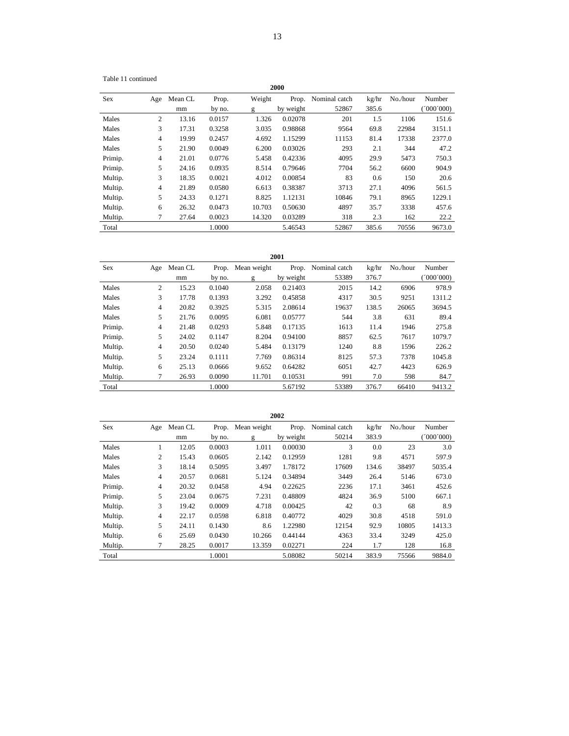Table 11 continued

|            | 2000           |         |        |        |           |               |       |          |           |  |  |  |
|------------|----------------|---------|--------|--------|-----------|---------------|-------|----------|-----------|--|--|--|
| <b>Sex</b> | Age            | Mean CL | Prop.  | Weight | Prop.     | Nominal catch | kg/hr | No./hour | Number    |  |  |  |
|            |                | mm      | by no. | g      | by weight | 52867         | 385.6 |          | (000'000) |  |  |  |
| Males      | 2              | 13.16   | 0.0157 | 1.326  | 0.02078   | 201           | 1.5   | 1106     | 151.6     |  |  |  |
| Males      | 3              | 17.31   | 0.3258 | 3.035  | 0.98868   | 9564          | 69.8  | 22984    | 3151.1    |  |  |  |
| Males      | $\overline{4}$ | 19.99   | 0.2457 | 4.692  | 1.15299   | 11153         | 81.4  | 17338    | 2377.0    |  |  |  |
| Males      | 5              | 21.90   | 0.0049 | 6.200  | 0.03026   | 293           | 2.1   | 344      | 47.2      |  |  |  |
| Primip.    | $\overline{4}$ | 21.01   | 0.0776 | 5.458  | 0.42336   | 4095          | 29.9  | 5473     | 750.3     |  |  |  |
| Primip.    | 5              | 24.16   | 0.0935 | 8.514  | 0.79646   | 7704          | 56.2  | 6600     | 904.9     |  |  |  |
| Multip.    | 3              | 18.35   | 0.0021 | 4.012  | 0.00854   | 83            | 0.6   | 150      | 20.6      |  |  |  |
| Multip.    | $\overline{4}$ | 21.89   | 0.0580 | 6.613  | 0.38387   | 3713          | 27.1  | 4096     | 561.5     |  |  |  |
| Multip.    | 5              | 24.33   | 0.1271 | 8.825  | 1.12131   | 10846         | 79.1  | 8965     | 1229.1    |  |  |  |
| Multip.    | 6              | 26.32   | 0.0473 | 10.703 | 0.50630   | 4897          | 35.7  | 3338     | 457.6     |  |  |  |
| Multip.    | 7              | 27.64   | 0.0023 | 14.320 | 0.03289   | 318           | 2.3   | 162      | 22.2      |  |  |  |
| Total      |                |         | 1.0000 |        | 5.46543   | 52867         | 385.6 | 70556    | 9673.0    |  |  |  |

| <b>Sex</b> | Age            | Mean CL | Prop.  | Mean weight | Prop.     | Nominal catch | kg/hr | No./hour | Number     |
|------------|----------------|---------|--------|-------------|-----------|---------------|-------|----------|------------|
|            |                | mm      | by no. | g           | by weight | 53389         | 376.7 |          | (000, 000) |
| Males      | 2              | 15.23   | 0.1040 | 2.058       | 0.21403   | 2015          | 14.2  | 6906     | 978.9      |
| Males      | 3              | 17.78   | 0.1393 | 3.292       | 0.45858   | 4317          | 30.5  | 9251     | 1311.2     |
| Males      | 4              | 20.82   | 0.3925 | 5.315       | 2.08614   | 19637         | 138.5 | 26065    | 3694.5     |
| Males      | 5              | 21.76   | 0.0095 | 6.081       | 0.05777   | 544           | 3.8   | 631      | 89.4       |
| Primip.    | 4              | 21.48   | 0.0293 | 5.848       | 0.17135   | 1613          | 11.4  | 1946     | 275.8      |
| Primip.    | 5              | 24.02   | 0.1147 | 8.204       | 0.94100   | 8857          | 62.5  | 7617     | 1079.7     |
| Multip.    | $\overline{4}$ | 20.50   | 0.0240 | 5.484       | 0.13179   | 1240          | 8.8   | 1596     | 226.2      |
| Multip.    | 5              | 23.24   | 0.1111 | 7.769       | 0.86314   | 8125          | 57.3  | 7378     | 1045.8     |
| Multip.    | 6              | 25.13   | 0.0666 | 9.652       | 0.64282   | 6051          | 42.7  | 4423     | 626.9      |
| Multip.    | 7              | 26.93   | 0.0090 | 11.701      | 0.10531   | 991           | 7.0   | 598      | 84.7       |
| Total      |                |         | 1.0000 |             | 5.67192   | 53389         | 376.7 | 66410    | 9413.2     |

|            |                |         |        |             | 2002      |               |       |          |           |
|------------|----------------|---------|--------|-------------|-----------|---------------|-------|----------|-----------|
| <b>Sex</b> | Age            | Mean CL | Prop.  | Mean weight | Prop.     | Nominal catch | kg/hr | No./hour | Number    |
|            |                | mm      | by no. | g           | by weight | 50214         | 383.9 |          | (000'000) |
| Males      |                | 12.05   | 0.0003 | 1.011       | 0.00030   | 3             | 0.0   | 23       | 3.0       |
| Males      | 2              | 15.43   | 0.0605 | 2.142       | 0.12959   | 1281          | 9.8   | 4571     | 597.9     |
| Males      | 3              | 18.14   | 0.5095 | 3.497       | 1.78172   | 17609         | 134.6 | 38497    | 5035.4    |
| Males      | $\overline{4}$ | 20.57   | 0.0681 | 5.124       | 0.34894   | 3449          | 26.4  | 5146     | 673.0     |
| Primip.    | $\overline{4}$ | 20.32   | 0.0458 | 4.94        | 0.22625   | 2236          | 17.1  | 3461     | 452.6     |
| Primip.    | 5              | 23.04   | 0.0675 | 7.231       | 0.48809   | 4824          | 36.9  | 5100     | 667.1     |
| Multip.    | 3              | 19.42   | 0.0009 | 4.718       | 0.00425   | 42            | 0.3   | 68       | 8.9       |
| Multip.    | $\overline{4}$ | 22.17   | 0.0598 | 6.818       | 0.40772   | 4029          | 30.8  | 4518     | 591.0     |
| Multip.    | 5              | 24.11   | 0.1430 | 8.6         | 1.22980   | 12154         | 92.9  | 10805    | 1413.3    |
| Multip.    | 6              | 25.69   | 0.0430 | 10.266      | 0.44144   | 4363          | 33.4  | 3249     | 425.0     |
| Multip.    | 7              | 28.25   | 0.0017 | 13.359      | 0.02271   | 224           | 1.7   | 128      | 16.8      |
| Total      |                |         | 1.0001 |             | 5.08082   | 50214         | 383.9 | 75566    | 9884.0    |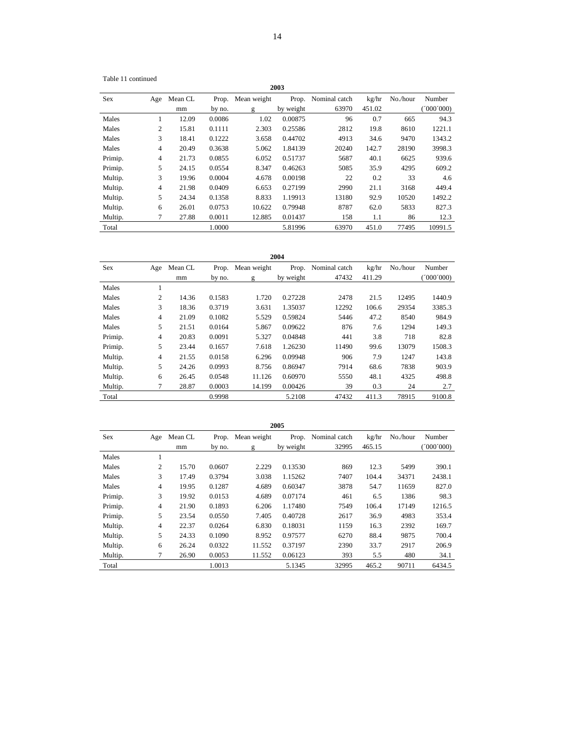Table 11 continued

|            |     |         |        |             | 2003      |               |        |          |            |
|------------|-----|---------|--------|-------------|-----------|---------------|--------|----------|------------|
| <b>Sex</b> | Age | Mean CL | Prop.  | Mean weight | Prop.     | Nominal catch | kg/hr  | No./hour | Number     |
|            |     | mm      | by no. | g           | by weight | 63970         | 451.02 |          | (000'000') |
| Males      | 1   | 12.09   | 0.0086 | 1.02        | 0.00875   | 96            | 0.7    | 665      | 94.3       |
| Males      | 2   | 15.81   | 0.1111 | 2.303       | 0.25586   | 2812          | 19.8   | 8610     | 1221.1     |
| Males      | 3   | 18.41   | 0.1222 | 3.658       | 0.44702   | 4913          | 34.6   | 9470     | 1343.2     |
| Males      | 4   | 20.49   | 0.3638 | 5.062       | 1.84139   | 20240         | 142.7  | 28190    | 3998.3     |
| Primip.    | 4   | 21.73   | 0.0855 | 6.052       | 0.51737   | 5687          | 40.1   | 6625     | 939.6      |
| Primip.    | 5   | 24.15   | 0.0554 | 8.347       | 0.46263   | 5085          | 35.9   | 4295     | 609.2      |
| Multip.    | 3   | 19.96   | 0.0004 | 4.678       | 0.00198   | 22            | 0.2    | 33       | 4.6        |
| Multip.    | 4   | 21.98   | 0.0409 | 6.653       | 0.27199   | 2990          | 21.1   | 3168     | 449.4      |
| Multip.    | 5   | 24.34   | 0.1358 | 8.833       | 1.19913   | 13180         | 92.9   | 10520    | 1492.2     |
| Multip.    | 6   | 26.01   | 0.0753 | 10.622      | 0.79948   | 8787          | 62.0   | 5833     | 827.3      |
| Multip.    | 7   | 27.88   | 0.0011 | 12.885      | 0.01437   | 158           | 1.1    | 86       | 12.3       |
| Total      |     |         | 1.0000 |             | 5.81996   | 63970         | 451.0  | 77495    | 10991.5    |

|         | 2004           |         |        |             |           |               |        |          |           |
|---------|----------------|---------|--------|-------------|-----------|---------------|--------|----------|-----------|
| Sex     | Age            | Mean CL | Prop.  | Mean weight | Prop.     | Nominal catch | kg/hr  | No./hour | Number    |
|         |                | mm      | by no. | g           | by weight | 47432         | 411.29 |          | (000'000) |
| Males   | -1             |         |        |             |           |               |        |          |           |
| Males   | 2              | 14.36   | 0.1583 | 1.720       | 0.27228   | 2478          | 21.5   | 12495    | 1440.9    |
| Males   | 3              | 18.36   | 0.3719 | 3.631       | 1.35037   | 12292         | 106.6  | 29354    | 3385.3    |
| Males   | $\overline{4}$ | 21.09   | 0.1082 | 5.529       | 0.59824   | 5446          | 47.2   | 8540     | 984.9     |
| Males   | 5              | 21.51   | 0.0164 | 5.867       | 0.09622   | 876           | 7.6    | 1294     | 149.3     |
| Primip. | 4              | 20.83   | 0.0091 | 5.327       | 0.04848   | 441           | 3.8    | 718      | 82.8      |
| Primip. | 5              | 23.44   | 0.1657 | 7.618       | 1.26230   | 11490         | 99.6   | 13079    | 1508.3    |
| Multip. | $\overline{4}$ | 21.55   | 0.0158 | 6.296       | 0.09948   | 906           | 7.9    | 1247     | 143.8     |
| Multip. | 5              | 24.26   | 0.0993 | 8.756       | 0.86947   | 7914          | 68.6   | 7838     | 903.9     |
| Multip. | 6              | 26.45   | 0.0548 | 11.126      | 0.60970   | 5550          | 48.1   | 4325     | 498.8     |
| Multip. | 7              | 28.87   | 0.0003 | 14.199      | 0.00426   | 39            | 0.3    | 24       | 2.7       |
| Total   |                |         | 0.9998 |             | 5.2108    | 47432         | 411.3  | 78915    | 9100.8    |

|         | 2005           |         |        |             |           |               |        |          |          |  |
|---------|----------------|---------|--------|-------------|-----------|---------------|--------|----------|----------|--|
| Sex     | Age            | Mean CL | Prop.  | Mean weight | Prop.     | Nominal catch | kg/hr  | No./hour | Number   |  |
|         |                | mm      | by no. | g           | by weight | 32995         | 465.15 |          | '000'000 |  |
| Males   | ш              |         |        |             |           |               |        |          |          |  |
| Males   | 2              | 15.70   | 0.0607 | 2.229       | 0.13530   | 869           | 12.3   | 5499     | 390.1    |  |
| Males   | 3              | 17.49   | 0.3794 | 3.038       | 1.15262   | 7407          | 104.4  | 34371    | 2438.1   |  |
| Males   | $\overline{4}$ | 19.95   | 0.1287 | 4.689       | 0.60347   | 3878          | 54.7   | 11659    | 827.0    |  |
| Primip. | 3              | 19.92   | 0.0153 | 4.689       | 0.07174   | 461           | 6.5    | 1386     | 98.3     |  |
| Primip. | $\overline{4}$ | 21.90   | 0.1893 | 6.206       | 1.17480   | 7549          | 106.4  | 17149    | 1216.5   |  |
| Primip. | 5              | 23.54   | 0.0550 | 7.405       | 0.40728   | 2617          | 36.9   | 4983     | 353.4    |  |
| Multip. | $\overline{4}$ | 22.37   | 0.0264 | 6.830       | 0.18031   | 1159          | 16.3   | 2392     | 169.7    |  |
| Multip. | 5              | 24.33   | 0.1090 | 8.952       | 0.97577   | 6270          | 88.4   | 9875     | 700.4    |  |
| Multip. | 6              | 26.24   | 0.0322 | 11.552      | 0.37197   | 2390          | 33.7   | 2917     | 206.9    |  |
| Multip. | 7              | 26.90   | 0.0053 | 11.552      | 0.06123   | 393           | 5.5    | 480      | 34.1     |  |
| Total   |                |         | 1.0013 |             | 5.1345    | 32995         | 465.2  | 90711    | 6434.5   |  |

14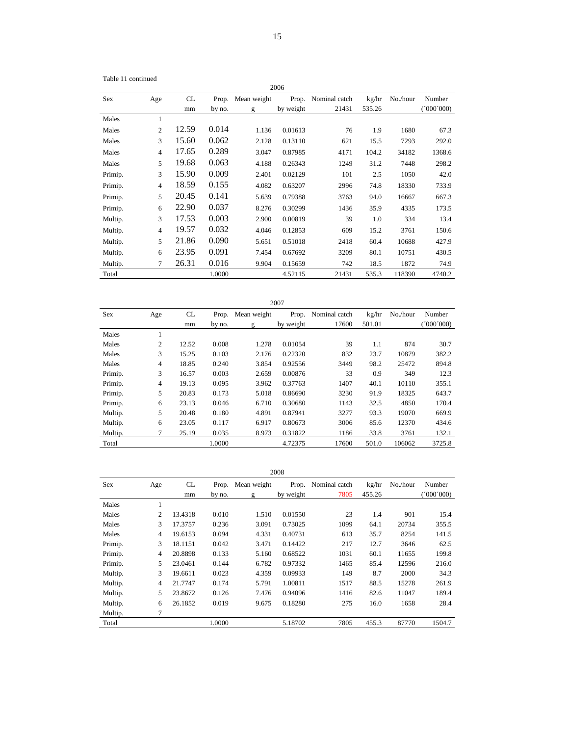Table 11 continued

|         |                 |       |        |             | 2006      |               |        |          |           |
|---------|-----------------|-------|--------|-------------|-----------|---------------|--------|----------|-----------|
| Sex     | Age             | CL    | Prop.  | Mean weight | Prop.     | Nominal catch | kg/hr  | No./hour | Number    |
|         |                 | mm    | by no. | g           | by weight | 21431         | 535.26 |          | (000'000) |
| Males   | 1               |       |        |             |           |               |        |          |           |
| Males   | $\overline{2}$  | 12.59 | 0.014  | 1.136       | 0.01613   | 76            | 1.9    | 1680     | 67.3      |
| Males   | 3               | 15.60 | 0.062  | 2.128       | 0.13110   | 621           | 15.5   | 7293     | 292.0     |
| Males   | $\overline{4}$  | 17.65 | 0.289  | 3.047       | 0.87985   | 4171          | 104.2  | 34182    | 1368.6    |
| Males   | 5               | 19.68 | 0.063  | 4.188       | 0.26343   | 1249          | 31.2   | 7448     | 298.2     |
| Primip. | 3               | 15.90 | 0.009  | 2.401       | 0.02129   | 101           | 2.5    | 1050     | 42.0      |
| Primip. | $\overline{4}$  | 18.59 | 0.155  | 4.082       | 0.63207   | 2996          | 74.8   | 18330    | 733.9     |
| Primip. | 5               | 20.45 | 0.141  | 5.639       | 0.79388   | 3763          | 94.0   | 16667    | 667.3     |
| Primip. | 6               | 22.90 | 0.037  | 8.276       | 0.30299   | 1436          | 35.9   | 4335     | 173.5     |
| Multip. | 3               | 17.53 | 0.003  | 2.900       | 0.00819   | 39            | 1.0    | 334      | 13.4      |
| Multip. | $\overline{4}$  | 19.57 | 0.032  | 4.046       | 0.12853   | 609           | 15.2   | 3761     | 150.6     |
| Multip. | 5               | 21.86 | 0.090  | 5.651       | 0.51018   | 2418          | 60.4   | 10688    | 427.9     |
| Multip. | 6               | 23.95 | 0.091  | 7.454       | 0.67692   | 3209          | 80.1   | 10751    | 430.5     |
| Multip. | $7\phantom{.0}$ | 26.31 | 0.016  | 9.904       | 0.15659   | 742           | 18.5   | 1872     | 74.9      |
| Total   |                 |       | 1.0000 |             | 4.52115   | 21431         | 535.3  | 118390   | 4740.2    |

|            |         |       |        |             | 2007      |               |        |          |           |
|------------|---------|-------|--------|-------------|-----------|---------------|--------|----------|-----------|
| <b>Sex</b> | Age     | CL    | Prop.  | Mean weight | Prop.     | Nominal catch | kg/hr  | No./hour | Number    |
|            |         | mm    | by no. | g           | by weight | 17600         | 501.01 |          | (000'000) |
| Males      | -1<br>1 |       |        |             |           |               |        |          |           |
| Males      | 2       | 12.52 | 0.008  | 1.278       | 0.01054   | 39            | 1.1    | 874      | 30.7      |
| Males      | 3       | 15.25 | 0.103  | 2.176       | 0.22320   | 832           | 23.7   | 10879    | 382.2     |
| Males      | 4       | 18.85 | 0.240  | 3.854       | 0.92556   | 3449          | 98.2   | 25472    | 894.8     |
| Primip.    | 3       | 16.57 | 0.003  | 2.659       | 0.00876   | 33            | 0.9    | 349      | 12.3      |
| Primip.    | 4       | 19.13 | 0.095  | 3.962       | 0.37763   | 1407          | 40.1   | 10110    | 355.1     |
| Primip.    | 5       | 20.83 | 0.173  | 5.018       | 0.86690   | 3230          | 91.9   | 18325    | 643.7     |
| Primip.    | 6       | 23.13 | 0.046  | 6.710       | 0.30680   | 1143          | 32.5   | 4850     | 170.4     |
| Multip.    | 5       | 20.48 | 0.180  | 4.891       | 0.87941   | 3277          | 93.3   | 19070    | 669.9     |
| Multip.    | 6       | 23.05 | 0.117  | 6.917       | 0.80673   | 3006          | 85.6   | 12370    | 434.6     |
| Multip.    | 7       | 25.19 | 0.035  | 8.973       | 0.31822   | 1186          | 33.8   | 3761     | 132.1     |
| Total      |         |       | 1.0000 |             | 4.72375   | 17600         | 501.0  | 106062   | 3725.8    |

|         |                |          |                 |                  | 2008               |                       |                 |          |                     |
|---------|----------------|----------|-----------------|------------------|--------------------|-----------------------|-----------------|----------|---------------------|
| Sex     | Age            | CL<br>mm | Prop.<br>by no. | Mean weight<br>g | Prop.<br>by weight | Nominal catch<br>7805 | kg/hr<br>455.26 | No./hour | Number<br>(000'000) |
| Males   | $\mathbf{1}$   |          |                 |                  |                    |                       |                 |          |                     |
| Males   | 2              | 13.4318  | 0.010           | 1.510            | 0.01550            | 23                    | 1.4             | 901      | 15.4                |
| Males   | 3              | 17.3757  | 0.236           | 3.091            | 0.73025            | 1099                  | 64.1            | 20734    | 355.5               |
| Males   | 4              | 19.6153  | 0.094           | 4.331            | 0.40731            | 613                   | 35.7            | 8254     | 141.5               |
| Primip. | 3              | 18.1151  | 0.042           | 3.471            | 0.14422            | 217                   | 12.7            | 3646     | 62.5                |
| Primip. | $\overline{4}$ | 20.8898  | 0.133           | 5.160            | 0.68522            | 1031                  | 60.1            | 11655    | 199.8               |
| Primip. | 5              | 23.0461  | 0.144           | 6.782            | 0.97332            | 1465                  | 85.4            | 12596    | 216.0               |
| Multip. | 3              | 19.6611  | 0.023           | 4.359            | 0.09933            | 149                   | 8.7             | 2000     | 34.3                |
| Multip. | $\overline{4}$ | 21.7747  | 0.174           | 5.791            | 1.00811            | 1517                  | 88.5            | 15278    | 261.9               |
| Multip. | 5              | 23.8672  | 0.126           | 7.476            | 0.94096            | 1416                  | 82.6            | 11047    | 189.4               |
| Multip. | 6              | 26.1852  | 0.019           | 9.675            | 0.18280            | 275                   | 16.0            | 1658     | 28.4                |
| Multip. | 7              |          |                 |                  |                    |                       |                 |          |                     |
| Total   |                |          | 1.0000          |                  | 5.18702            | 7805                  | 455.3           | 87770    | 1504.7              |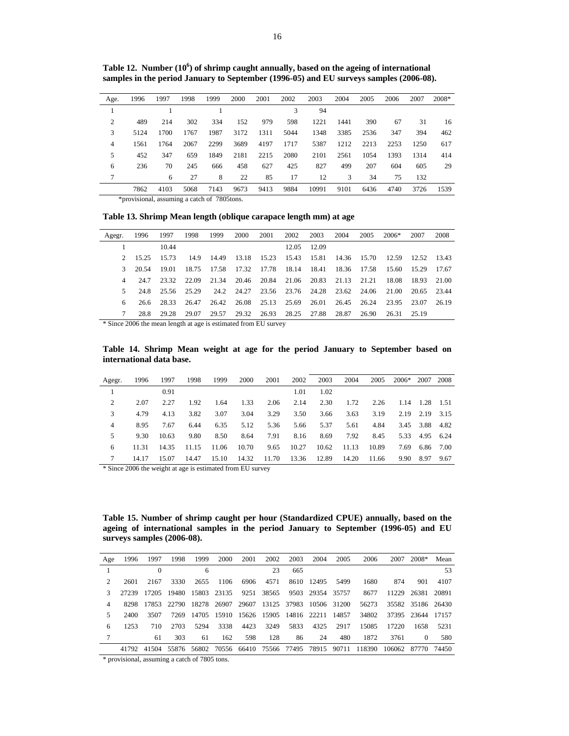| Age.           | 1996                                                 | 1997 | 1998 | 1999 | 2000 | 2001 | 2002 | 2003  | 2004 | 2005 | 2006 | 2007 | 2008* |
|----------------|------------------------------------------------------|------|------|------|------|------|------|-------|------|------|------|------|-------|
|                |                                                      |      |      |      |      |      | 3    | 94    |      |      |      |      |       |
| $\overline{c}$ | 489                                                  | 214  | 302  | 334  | 152  | 979  | 598  | 1221  | 1441 | 390  | 67   | 31   | 16    |
| 3              | 5124                                                 | 1700 | 1767 | 1987 | 3172 | 1311 | 5044 | 1348  | 3385 | 2536 | 347  | 394  | 462   |
| 4              | 1561                                                 | 1764 | 2067 | 2299 | 3689 | 4197 | 1717 | 5387  | 1212 | 2213 | 2253 | 1250 | 617   |
| 5              | 452                                                  | 347  | 659  | 1849 | 2181 | 2215 | 2080 | 2101  | 2561 | 1054 | 1393 | 1314 | 414   |
| 6              | 236                                                  | 70   | 245  | 666  | 458  | 627  | 425  | 827   | 499  | 207  | 604  | 605  | 29    |
| 7              |                                                      | 6    | 27   | 8    | 22   | 85   | 17   | 12    | 3    | 34   | 75   | 132  |       |
|                | 7862                                                 | 4103 | 5068 | 7143 | 9673 | 9413 | 9884 | 10991 | 9101 | 6436 | 4740 | 3726 | 1539  |
|                | $*$ <i>annulaiseal</i> secuniaisea satakse 7005tessa |      |      |      |      |      |      |       |      |      |      |      |       |

Table 12. Number (10<sup>6</sup>) of shrimp caught annually, based on the ageing of international samples in the period January to September (1996-05) and EU surveys samples (2006-08).

\*provisional, assuming a catch of 7805tons.

**Table 13. Shrimp Mean length (oblique carapace length mm) at age** 

| Agegr.      | 1996   | 1997        | 1998  | 1999        | 2000                                     | 2001 | 2002                                | 2003        | 2004              | 2005  | $2006*$           | 2007  | 2008    |
|-------------|--------|-------------|-------|-------------|------------------------------------------|------|-------------------------------------|-------------|-------------------|-------|-------------------|-------|---------|
|             |        | 10.44       |       |             |                                          |      |                                     | 12.05 12.09 |                   |       |                   |       |         |
| $2^{\circ}$ | 15.25  | 15.73       |       | 14.9 14.49  |                                          |      | 13.18 15.23 15.43 15.81 14.36 15.70 |             |                   |       | 12.59 12.52 13.43 |       |         |
| 3.          | -20.54 | -19.01      |       | 18.75 17.58 |                                          |      | 17.32 17.78 18.14 18.41 18.36       |             |                   |       | 17.58 15.60       | 15.29 | - 17.67 |
|             | 24.7   | 23.32       | 22.09 | 21.34       |                                          |      | 20.46 20.84 21.06 20.83 21.13       |             |                   | 21.21 | 18.08             | 18.93 | - 21.00 |
| 5.          | 248    | 25.56 25.29 |       |             | 24.2 24.27 23.56 23.76 24.28 23.62 24.06 |      |                                     |             |                   |       | 21.00             | 20.65 | 23.44   |
|             | 26.6   | 28.33       | 26.47 | 26.42       |                                          |      | 26.08 25.13 25.69                   |             | 26.01 26.45 26.24 |       | 23.95             | 23.07 | 26.19   |
|             | 28.8   | 29.28       | 29.07 | 29.57       |                                          |      | 29.32 26.93 28.25 27.88 28.87       |             |                   | 26.90 | 26.31 25.19       |       |         |

\* Since 2006 the mean length at age is estimated from EU survey

**Table 14. Shrimp Mean weight at age for the period January to September based on international data base.** 

| Agegr. | 1996  | 1997  | 1998  | 1999  | 2000  | 2001  | 2002  | 2003  | 2004  | 2005  | $2006*$ | 2007 | 2008   |
|--------|-------|-------|-------|-------|-------|-------|-------|-------|-------|-------|---------|------|--------|
|        |       | 0.91  |       |       |       |       | 1.01  | 1.02  |       |       |         |      |        |
| 2      | 2.07  | 2.27  | 1.92  | 1.64  | 1.33  | 2.06  | 2.14  | 2.30  | 1.72  | 2.26  | 1.14    | 1.28 | -1.51  |
| 3      | 4.79  | 4.13  | 3.82  | 3.07  | 3.04  | 3.29  | 3.50  | 3.66  | 3.63  | 3.19  | 2.19    | 2.19 | 3.15   |
| 4      | 8.95  | 7.67  | 6.44  | 6.35  | 5.12  | 5.36  | 5.66  | 5.37  | 5.61  | 4.84  | 3.45    | 3.88 | 4.82   |
| 5      | 9.30  | 10.63 | 9.80  | 8.50  | 8.64  | 7.91  | 8.16  | 8.69  | 7.92  | 8.45  | 5.33    | 4.95 | 6.24   |
| 6      | 11.31 | 14.35 | 11.15 | 11.06 | 10.70 | 9.65  | 10.27 | 10.62 | 11.13 | 10.89 | 7.69    | 6.86 | - 7.00 |
|        | 14.17 | 15.07 | 14.47 | 15.10 | 14.32 | 11.70 | 13.36 | 12.89 | 14.20 | 11.66 | 9.90    | 8.97 | 9.67   |

\* Since 2006 the weight at age is estimated from EU survey

**Table 15. Number of shrimp caught per hour (Standardized CPUE) annually, based on the ageing of international samples in the period January to September (1996-05) and EU surveys samples (2006-08).** 

| Age | 1996  | 1997 | 1998 | 1999 | 2000                                                        | 2001 | 2002 | 2003                        | 2004            | 2005 | 2006   | 2007               | $2008*$ Mean      |      |
|-----|-------|------|------|------|-------------------------------------------------------------|------|------|-----------------------------|-----------------|------|--------|--------------------|-------------------|------|
|     |       |      |      | 6    |                                                             |      | 23   | 665                         |                 |      |        |                    |                   | 53   |
|     | 2601  | 2167 | 3330 | 2655 | 1106                                                        | 6906 | 4571 |                             | 8610 12495 5499 |      | 1680   | 874                | 901               | 4107 |
|     | 27239 |      |      |      | 17205 19480 15803 23135                                     |      |      | 9251 38565 9503 29354 35757 |                 |      | 8677   |                    | 11229 26381 20891 |      |
|     | 8298  |      |      |      | 17853 22790 18278 26907 29607 13125 37983 10506 31200       |      |      |                             |                 |      | 56273  |                    | 35582 35186 26430 |      |
|     | 2400  | 3507 | 7269 |      | 14705 15910 15626 15905 14816 22211 14857                   |      |      |                             |                 |      | 34802  |                    | 37395 23644 17157 |      |
| 6   | 1253  | 710  | 2703 | 5294 | 3338                                                        | 4423 | 3249 | 5833                        | 4325            | 2917 | 15085  | 17220              | 1658              | 5231 |
|     |       | 61   | 303  | 61   | 162                                                         | 598  | 128  | 86                          | 24              | 480  | 1872   | 3761               | $\Omega$          | 580  |
|     |       |      |      |      | 41792 41504 55876 56802 70556 66410 75566 77495 78915 90711 |      |      |                             |                 |      | 118390 | 106062 87770 74450 |                   |      |

\* provisional, assuming a catch of 7805 tons.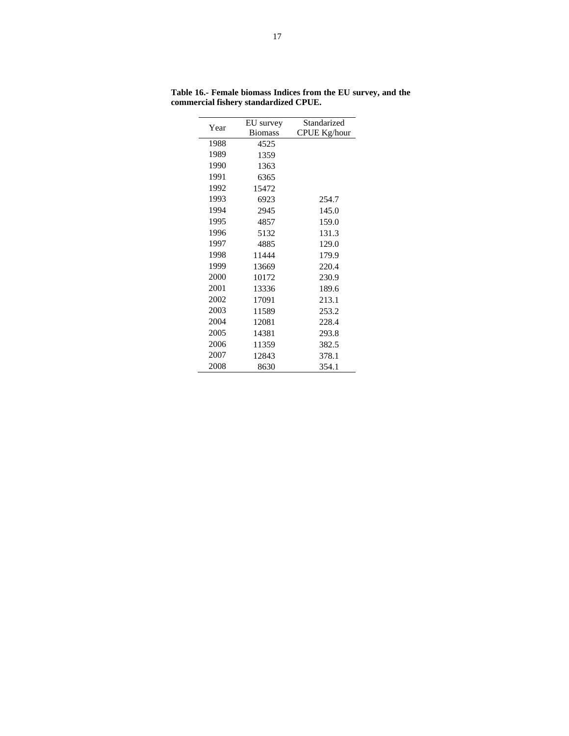|      | EU survey      | Standarized         |
|------|----------------|---------------------|
| Year | <b>Biomass</b> | <b>CPUE Kg/hour</b> |
| 1988 | 4525           |                     |
| 1989 | 1359           |                     |
| 1990 | 1363           |                     |
| 1991 | 6365           |                     |
| 1992 | 15472          |                     |
| 1993 | 6923           | 254.7               |
| 1994 | 2945           | 145.0               |
| 1995 | 4857           | 159.0               |
| 1996 | 5132           | 131.3               |
| 1997 | 4885           | 129.0               |
| 1998 | 11444          | 179.9               |
| 1999 | 13669          | 220.4               |
| 2000 | 10172          | 230.9               |
| 2001 | 13336          | 189.6               |
| 2002 | 17091          | 213.1               |
| 2003 | 11589          | 253.2               |
| 2004 | 12081          | 228.4               |
| 2005 | 14381          | 293.8               |
| 2006 | 11359          | 382.5               |
| 2007 | 12843          | 378.1               |
| 2008 | 8630           | 354.1               |

**Table 16.- Female biomass Indices from the EU survey, and the commercial fishery standardized CPUE.**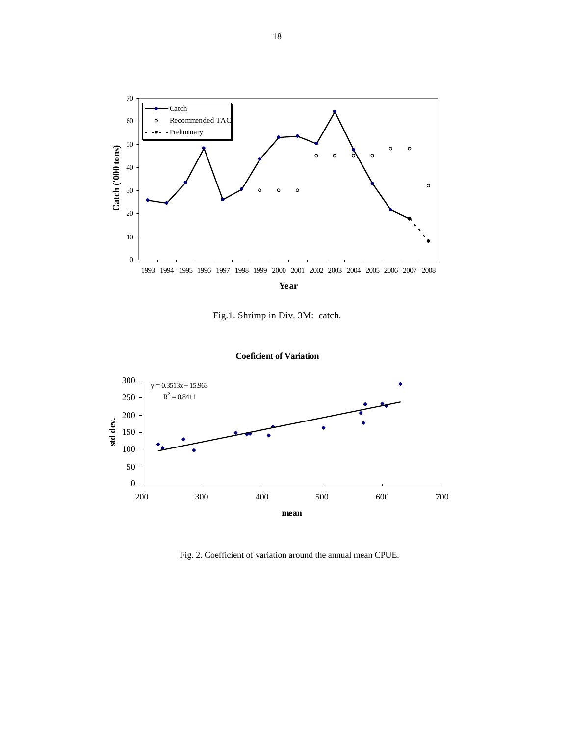

Fig.1. Shrimp in Div. 3M: catch.





Fig. 2. Coefficient of variation around the annual mean CPUE.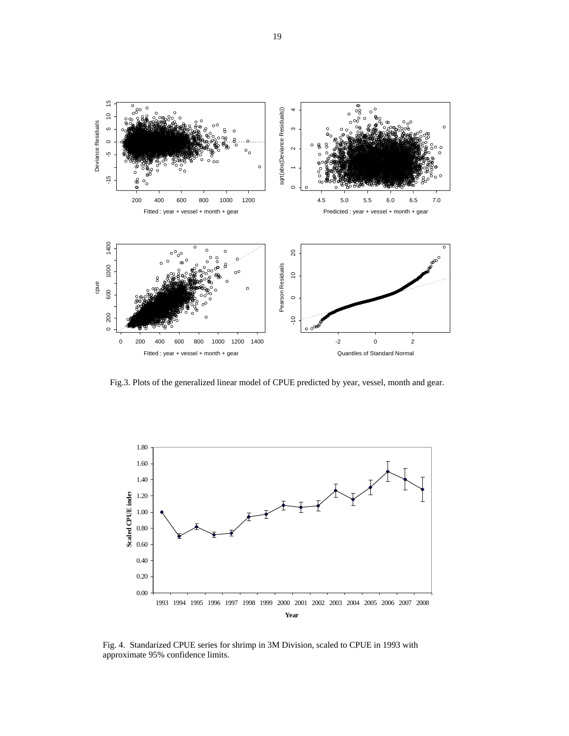

Fig.3. Plots of the generalized linear model of CPUE predicted by year, vessel, month and gear.



Fig. 4. Standarized CPUE series for shrimp in 3M Division, scaled to CPUE in 1993 with approximate 95% confidence limits.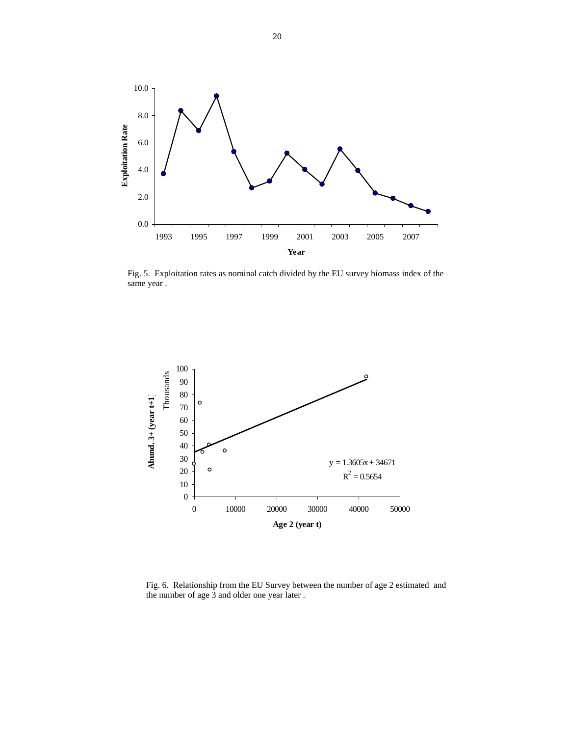

Fig. 5. Exploitation rates as nominal catch divided by the EU survey biomass index of the same year .



Fig. 6. Relationship from the EU Survey between the number of age 2 estimated and the number of age 3 and older one year later .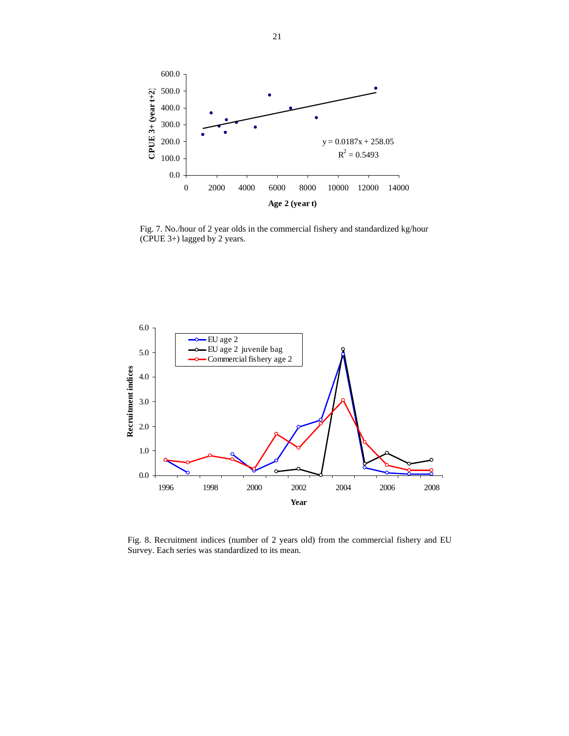

Fig. 7. No./hour of 2 year olds in the commercial fishery and standardized kg/hour (CPUE 3+) lagged by 2 years.



Fig. 8. Recruitment indices (number of 2 years old) from the commercial fishery and EU Survey. Each series was standardized to its mean.